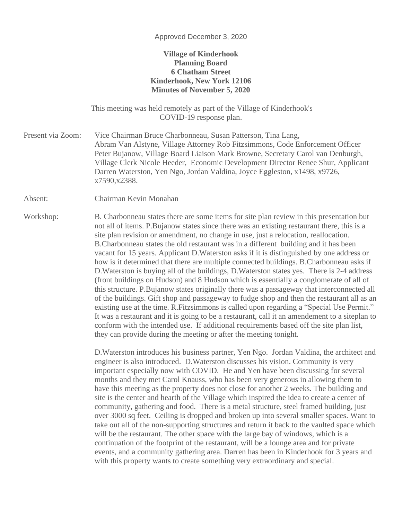## Approved December 3, 2020

## **Village of Kinderhook Planning Board 6 Chatham Street Kinderhook, New York 12106 Minutes of November 5, 2020**

This meeting was held remotely as part of the Village of Kinderhook's COVID-19 response plan.

Present via Zoom: Vice Chairman Bruce Charbonneau, Susan Patterson, Tina Lang, Abram Van Alstyne, Village Attorney Rob Fitzsimmons, Code Enforcement Officer Peter Bujanow, Village Board Liaison Mark Browne, Secretary Carol van Denburgh, Village Clerk Nicole Heeder, Economic Development Director Renee Shur, Applicant Darren Waterston, Yen Ngo, Jordan Valdina, Joyce Eggleston, x1498, x9726, x7590,x2388.

Absent: Chairman Kevin Monahan

Workshop: B. Charbonneau states there are some items for site plan review in this presentation but not all of items. P.Bujanow states since there was an existing restaurant there, this is a site plan revision or amendment, no change in use, just a relocation, reallocation. B.Charbonneau states the old restaurant was in a different building and it has been vacant for 15 years. Applicant D.Waterston asks if it is distinguished by one address or how is it determined that there are multiple connected buildings. B.Charbonneau asks if D.Waterston is buying all of the buildings, D.Waterston states yes. There is 2-4 address (front buildings on Hudson) and 8 Hudson which is essentially a conglomerate of all of this structure. P.Bujanow states originally there was a passageway that interconnected all of the buildings. Gift shop and passageway to fudge shop and then the restaurant all as an existing use at the time. R.Fitzsimmons is called upon regarding a "Special Use Permit." It was a restaurant and it is going to be a restaurant, call it an amendement to a siteplan to conform with the intended use. If additional requirements based off the site plan list, they can provide during the meeting or after the meeting tonight.

> D.Waterston introduces his business partner, Yen Ngo. Jordan Valdina, the architect and engineer is also introduced. D.Waterston discusses his vision. Community is very important especially now with COVID. He and Yen have been discussing for several months and they met Carol Knauss, who has been very generous in allowing them to have this meeting as the property does not close for another 2 weeks. The building and site is the center and hearth of the Village which inspired the idea to create a center of community, gathering and food. There is a metal structure, steel framed building, just over 3000 sq feet. Ceiling is dropped and broken up into several smaller spaces. Want to take out all of the non-supporting structures and return it back to the vaulted space which will be the restaurant. The other space with the large bay of windows, which is a continuation of the footprint of the restaurant, will be a lounge area and for private events, and a community gathering area. Darren has been in Kinderhook for 3 years and with this property wants to create something very extraordinary and special.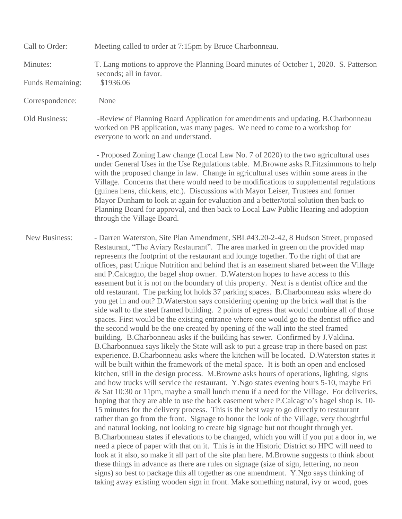| Call to Order:       | Meeting called to order at 7:15pm by Bruce Charbonneau.                                                                                                                                                                                                                                                                                                                                                                                                                                                                                                                                                                                                                                                                                                                                                                                                                                                                                                                                                                                                                                                                                                                                                                                                                                                                                                                                                                                                                                                                                                                                                                                                                                                                                                                                                                                                                                                                                                                                                                                                                                                                                                                                                                                                                                                                                                                                                                                                                                                                                                                                                                  |
|----------------------|--------------------------------------------------------------------------------------------------------------------------------------------------------------------------------------------------------------------------------------------------------------------------------------------------------------------------------------------------------------------------------------------------------------------------------------------------------------------------------------------------------------------------------------------------------------------------------------------------------------------------------------------------------------------------------------------------------------------------------------------------------------------------------------------------------------------------------------------------------------------------------------------------------------------------------------------------------------------------------------------------------------------------------------------------------------------------------------------------------------------------------------------------------------------------------------------------------------------------------------------------------------------------------------------------------------------------------------------------------------------------------------------------------------------------------------------------------------------------------------------------------------------------------------------------------------------------------------------------------------------------------------------------------------------------------------------------------------------------------------------------------------------------------------------------------------------------------------------------------------------------------------------------------------------------------------------------------------------------------------------------------------------------------------------------------------------------------------------------------------------------------------------------------------------------------------------------------------------------------------------------------------------------------------------------------------------------------------------------------------------------------------------------------------------------------------------------------------------------------------------------------------------------------------------------------------------------------------------------------------------------|
| Minutes:             | T. Lang motions to approve the Planning Board minutes of October 1, 2020. S. Patterson<br>seconds; all in favor.                                                                                                                                                                                                                                                                                                                                                                                                                                                                                                                                                                                                                                                                                                                                                                                                                                                                                                                                                                                                                                                                                                                                                                                                                                                                                                                                                                                                                                                                                                                                                                                                                                                                                                                                                                                                                                                                                                                                                                                                                                                                                                                                                                                                                                                                                                                                                                                                                                                                                                         |
| Funds Remaining:     | \$1936.06                                                                                                                                                                                                                                                                                                                                                                                                                                                                                                                                                                                                                                                                                                                                                                                                                                                                                                                                                                                                                                                                                                                                                                                                                                                                                                                                                                                                                                                                                                                                                                                                                                                                                                                                                                                                                                                                                                                                                                                                                                                                                                                                                                                                                                                                                                                                                                                                                                                                                                                                                                                                                |
| Correspondence:      | None                                                                                                                                                                                                                                                                                                                                                                                                                                                                                                                                                                                                                                                                                                                                                                                                                                                                                                                                                                                                                                                                                                                                                                                                                                                                                                                                                                                                                                                                                                                                                                                                                                                                                                                                                                                                                                                                                                                                                                                                                                                                                                                                                                                                                                                                                                                                                                                                                                                                                                                                                                                                                     |
| Old Business:        | -Review of Planning Board Application for amendments and updating. B.Charbonneau<br>worked on PB application, was many pages. We need to come to a workshop for<br>everyone to work on and understand.                                                                                                                                                                                                                                                                                                                                                                                                                                                                                                                                                                                                                                                                                                                                                                                                                                                                                                                                                                                                                                                                                                                                                                                                                                                                                                                                                                                                                                                                                                                                                                                                                                                                                                                                                                                                                                                                                                                                                                                                                                                                                                                                                                                                                                                                                                                                                                                                                   |
|                      | - Proposed Zoning Law change (Local Law No. 7 of 2020) to the two agricultural uses<br>under General Uses in the Use Regulations table. M.Browne asks R.Fitzsimmons to help<br>with the proposed change in law. Change in agricultural uses within some areas in the<br>Village. Concerns that there would need to be modifications to supplemental regulations<br>(guinea hens, chickens, etc.). Discussions with Mayor Leiser, Trustees and former<br>Mayor Dunham to look at again for evaluation and a better/total solution then back to<br>Planning Board for approval, and then back to Local Law Public Hearing and adoption<br>through the Village Board.                                                                                                                                                                                                                                                                                                                                                                                                                                                                                                                                                                                                                                                                                                                                                                                                                                                                                                                                                                                                                                                                                                                                                                                                                                                                                                                                                                                                                                                                                                                                                                                                                                                                                                                                                                                                                                                                                                                                                       |
| <b>New Business:</b> | - Darren Waterston, Site Plan Amendment, SBL#43.20-2-42, 8 Hudson Street, proposed<br>Restaurant, "The Aviary Restaurant". The area marked in green on the provided map<br>represents the footprint of the restaurant and lounge together. To the right of that are<br>offices, past Unique Nutrition and behind that is an easement shared between the Village<br>and P.Calcagno, the bagel shop owner. D.Waterston hopes to have access to this<br>easement but it is not on the boundary of this property. Next is a dentist office and the<br>old restaurant. The parking lot holds 37 parking spaces. B.Charbonneau asks where do<br>you get in and out? D. Waterston says considering opening up the brick wall that is the<br>side wall to the steel framed building. 2 points of egress that would combine all of those<br>spaces. First would be the existing entrance where one would go to the dentist office and<br>the second would be the one created by opening of the wall into the steel framed<br>building. B.Charbonneau asks if the building has sewer. Confirmed by J.Valdina.<br>B. Charbonnuea says likely the State will ask to put a grease trap in there based on past<br>experience. B.Charbonneau asks where the kitchen will be located. D.Waterston states it<br>will be built within the framework of the metal space. It is both an open and enclosed<br>kitchen, still in the design process. M.Browne asks hours of operations, lighting, signs<br>and how trucks will service the restaurant. Y.Ngo states evening hours 5-10, maybe Fri<br>& Sat 10:30 or 11pm, maybe a small lunch menu if a need for the Village. For deliveries,<br>hoping that they are able to use the back easement where P.Calcagno's bagel shop is. 10-<br>15 minutes for the delivery process. This is the best way to go directly to restaurant<br>rather than go from the front. Signage to honor the look of the Village, very thoughtful<br>and natural looking, not looking to create big signage but not thought through yet.<br>B. Charbonneau states if elevations to be changed, which you will if you put a door in, we<br>need a piece of paper with that on it. This is in the Historic District so HPC will need to<br>look at it also, so make it all part of the site plan here. M.Browne suggests to think about<br>these things in advance as there are rules on signage (size of sign, lettering, no neon<br>signs) so best to package this all together as one amendment. Y.Ngo says thinking of<br>taking away existing wooden sign in front. Make something natural, ivy or wood, goes |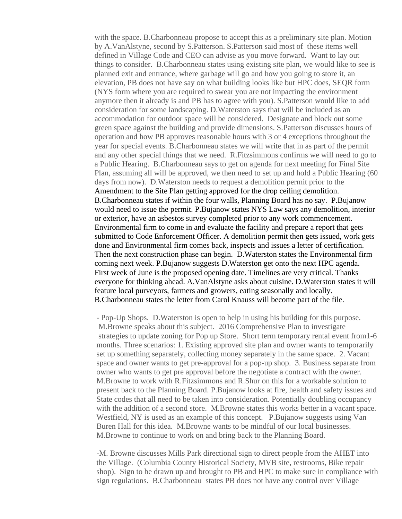with the space. B.Charbonneau propose to accept this as a preliminary site plan. Motion by A.VanAlstyne, second by S.Patterson. S.Patterson said most of these items well defined in Village Code and CEO can advise as you move forward. Want to lay out things to consider. B.Charbonneau states using existing site plan, we would like to see is planned exit and entrance, where garbage will go and how you going to store it, an elevation, PB does not have say on what building looks like but HPC does, SEQR form (NYS form where you are required to swear you are not impacting the environment anymore then it already is and PB has to agree with you). S.Patterson would like to add consideration for some landscaping. D.Waterston says that will be included as an accommodation for outdoor space will be considered. Designate and block out some green space against the building and provide dimensions. S.Patterson discusses hours of operation and how PB approves reasonable hours with 3 or 4 exceptions throughout the year for special events. B.Charbonneau states we will write that in as part of the permit and any other special things that we need. R.Fitzsimmons confirms we will need to go to a Public Hearing. B.Charbonneau says to get on agenda for next meeting for Final Site Plan, assuming all will be approved, we then need to set up and hold a Public Hearing (60 days from now). D.Waterston needs to request a demolition permit prior to the Amendment to the Site Plan getting approved for the drop ceiling demolition. B.Charbonneau states if within the four walls, Planning Board has no say. P.Bujanow would need to issue the permit. P.Bujanow states NYS Law says any demolition, interior or exterior, have an asbestos survey completed prior to any work commencement. Environmental firm to come in and evaluate the facility and prepare a report that gets submitted to Code Enforcement Officer. A demolition permit then gets issued, work gets done and Environmental firm comes back, inspects and issues a letter of certification. Then the next construction phase can begin. D.Waterston states the Environmental firm coming next week. P.Bujanow suggests D.Waterston get onto the next HPC agenda. First week of June is the proposed opening date. Timelines are very critical. Thanks everyone for thinking ahead. A.VanAlstyne asks about cuisine. D.Waterston states it will feature local purveyors, farmers and growers, eating seasonally and locally. B.Charbonneau states the letter from Carol Knauss will become part of the file.

- Pop-Up Shops. D.Waterston is open to help in using his building for this purpose. M.Browne speaks about this subject. 2016 Comprehensive Plan to investigate strategies to update zoning for Pop up Store. Short term temporary rental event from1-6 months. Three scenarios: 1. Existing approved site plan and owner wants to temporarily set up something separately, collecting money separately in the same space. 2. Vacant space and owner wants to get pre-approval for a pop-up shop. 3. Business separate from owner who wants to get pre approval before the negotiate a contract with the owner. M.Browne to work with R.Fitzsimmons and R.Shur on this for a workable solution to present back to the Planning Board. P.Bujanow looks at fire, health and safety issues and State codes that all need to be taken into consideration. Potentially doubling occupancy with the addition of a second store. M.Browne states this works better in a vacant space. Westfield, NY is used as an example of this concept. P.Bujanow suggests using Van Buren Hall for this idea. M.Browne wants to be mindful of our local businesses. M.Browne to continue to work on and bring back to the Planning Board.

-M. Browne discusses Mills Park directional sign to direct people from the AHET into the Village. (Columbia County Historical Society, MVB site, restrooms, Bike repair shop). Sign to be drawn up and brought to PB and HPC to make sure in compliance with sign regulations. B.Charbonneau states PB does not have any control over Village